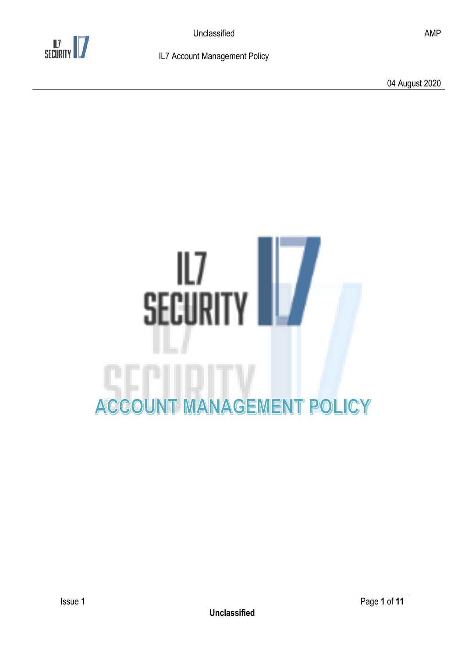

04 August 2020

# SECURITY **ACCOUNT MANAGEMENT POLICY**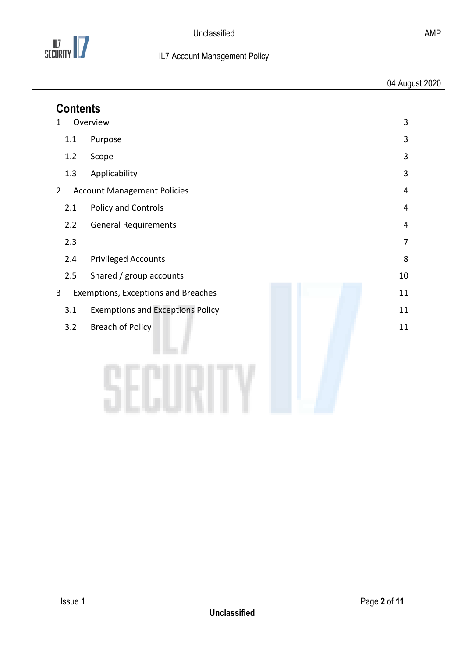

| <b>Contents</b>                                           |                                         |    |
|-----------------------------------------------------------|-----------------------------------------|----|
| Overview<br>3<br>1                                        |                                         |    |
| 1.1                                                       | Purpose                                 | 3  |
| 1.2                                                       | Scope                                   | 3  |
| 1.3                                                       | Applicability                           | 3  |
| $\overline{2}$<br><b>Account Management Policies</b><br>4 |                                         |    |
| 2.1                                                       | Policy and Controls                     | 4  |
| 2.2                                                       | <b>General Requirements</b>             | 4  |
| 2.3                                                       |                                         | 7  |
| 2.4                                                       | <b>Privileged Accounts</b>              | 8  |
| 2.5                                                       | Shared / group accounts                 | 10 |
| 11<br>3<br>Exemptions, Exceptions and Breaches            |                                         |    |
| 3.1                                                       | <b>Exemptions and Exceptions Policy</b> | 11 |
| 3.2                                                       | <b>Breach of Policy</b>                 | 11 |
|                                                           |                                         |    |
|                                                           |                                         |    |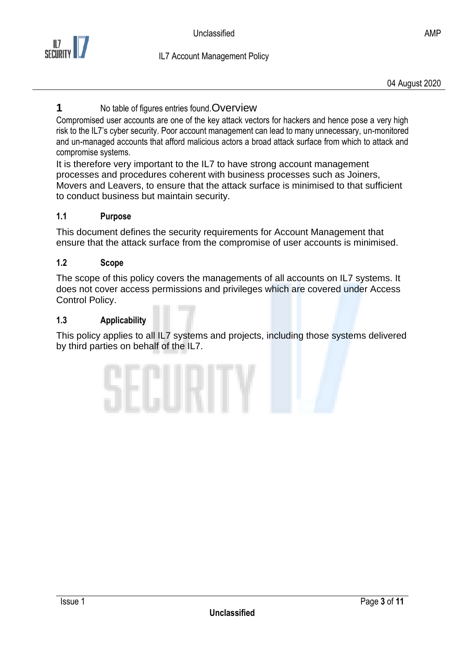

## <span id="page-2-0"></span>**1** No table of figures entries found. Overview

Compromised user accounts are one of the key attack vectors for hackers and hence pose a very high risk to the IL7's cyber security. Poor account management can lead to many unnecessary, un-monitored and un-managed accounts that afford malicious actors a broad attack surface from which to attack and compromise systems.

It is therefore very important to the IL7 to have strong account management processes and procedures coherent with business processes such as Joiners, Movers and Leavers, to ensure that the attack surface is minimised to that sufficient to conduct business but maintain security.

#### <span id="page-2-1"></span>**1.1 Purpose**

This document defines the security requirements for Account Management that ensure that the attack surface from the compromise of user accounts is minimised.

#### <span id="page-2-2"></span>**1.2 Scope**

The scope of this policy covers the managements of all accounts on IL7 systems. It does not cover access permissions and privileges which are covered under Access Control Policy.

#### <span id="page-2-3"></span>**1.3 Applicability**

This policy applies to all IL7 systems and projects, including those systems delivered by third parties on behalf of the IL7.

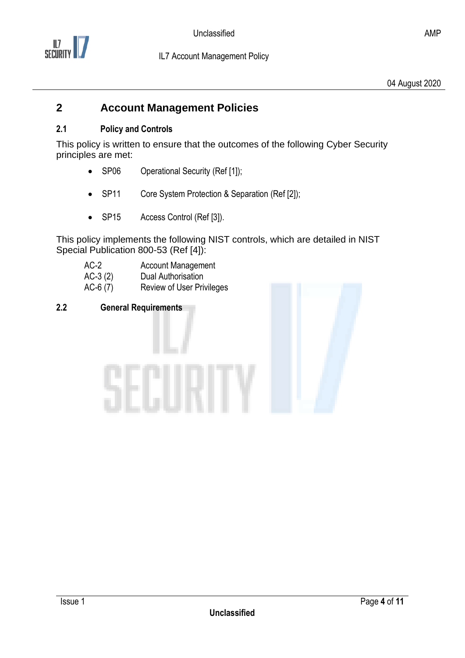

## <span id="page-3-0"></span>**2 Account Management Policies**

#### <span id="page-3-1"></span>**2.1 Policy and Controls**

This policy is written to ensure that the outcomes of the following Cyber Security principles are met:

- SP06 Operational Security (Ref [1]);
- SP11 Core System Protection & Separation (Ref [2]);
- SP15 Access Control (Ref [3]).

This policy implements the following NIST controls, which are detailed in NIST Special Publication 800-53 (Ref [4]):

| $AC-2$    | <b>Account Management</b>        |
|-----------|----------------------------------|
| $AC-3(2)$ | Dual Authorisation               |
| $AC-6(7)$ | <b>Review of User Privileges</b> |

#### <span id="page-3-2"></span>**2.2 General Requirements**

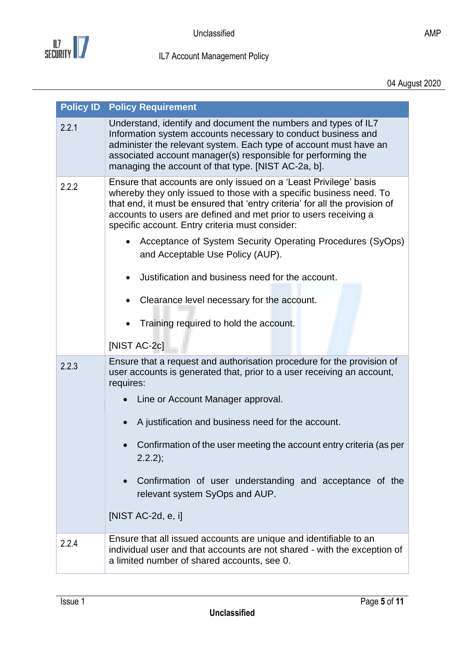

<span id="page-4-0"></span>

| <b>Policy ID</b> | <b>Policy Requirement</b>                                                                                                                                                                                                                                                                                                                                                                                                                                                                                                                                                                    |
|------------------|----------------------------------------------------------------------------------------------------------------------------------------------------------------------------------------------------------------------------------------------------------------------------------------------------------------------------------------------------------------------------------------------------------------------------------------------------------------------------------------------------------------------------------------------------------------------------------------------|
| 2.2.1            | Understand, identify and document the numbers and types of IL7<br>Information system accounts necessary to conduct business and<br>administer the relevant system. Each type of account must have an<br>associated account manager(s) responsible for performing the<br>managing the account of that type. [NIST AC-2a, b].                                                                                                                                                                                                                                                                  |
| 2.2.2            | Ensure that accounts are only issued on a 'Least Privilege' basis<br>whereby they only issued to those with a specific business need. To<br>that end, it must be ensured that 'entry criteria' for all the provision of<br>accounts to users are defined and met prior to users receiving a<br>specific account. Entry criteria must consider:<br>Acceptance of System Security Operating Procedures (SyOps)<br>and Acceptable Use Policy (AUP).<br>Justification and business need for the account.<br>Clearance level necessary for the account.<br>Training required to hold the account. |
|                  | [NIST AC-2c]                                                                                                                                                                                                                                                                                                                                                                                                                                                                                                                                                                                 |
| 2.2.3            | Ensure that a request and authorisation procedure for the provision of<br>user accounts is generated that, prior to a user receiving an account,<br>requires:<br>Line or Account Manager approval.<br>A justification and business need for the account.<br>Confirmation of the user meeting the account entry criteria (as per<br>$2.2.2$ ;<br>Confirmation of user understanding and acceptance of the<br>relevant system SyOps and AUP.<br>[NIST $AC-2d$ , e, i]                                                                                                                          |
| 2.2.4            | Ensure that all issued accounts are unique and identifiable to an                                                                                                                                                                                                                                                                                                                                                                                                                                                                                                                            |
|                  | individual user and that accounts are not shared - with the exception of<br>a limited number of shared accounts, see 0.                                                                                                                                                                                                                                                                                                                                                                                                                                                                      |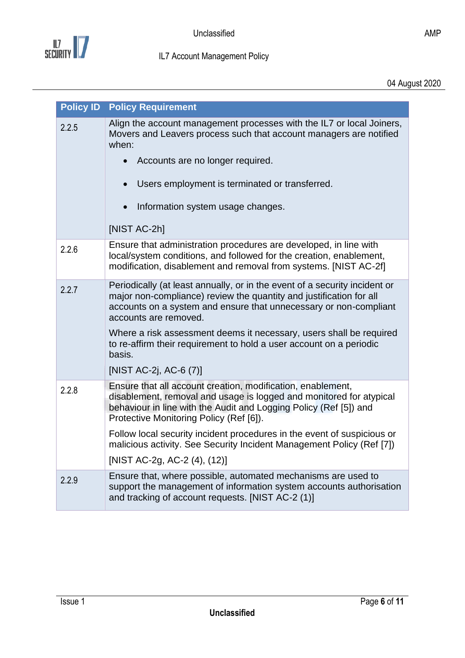

|       | <b>Policy ID Policy Requirement</b>                                                                                                                                                                                                                |
|-------|----------------------------------------------------------------------------------------------------------------------------------------------------------------------------------------------------------------------------------------------------|
| 2.2.5 | Align the account management processes with the IL7 or local Joiners,<br>Movers and Leavers process such that account managers are notified<br>when:                                                                                               |
|       | Accounts are no longer required.                                                                                                                                                                                                                   |
|       | Users employment is terminated or transferred.                                                                                                                                                                                                     |
|       | Information system usage changes.                                                                                                                                                                                                                  |
|       | [NIST AC-2h]                                                                                                                                                                                                                                       |
| 2.2.6 | Ensure that administration procedures are developed, in line with<br>local/system conditions, and followed for the creation, enablement,<br>modification, disablement and removal from systems. [NIST AC-2f]                                       |
| 2.2.7 | Periodically (at least annually, or in the event of a security incident or<br>major non-compliance) review the quantity and justification for all<br>accounts on a system and ensure that unnecessary or non-compliant<br>accounts are removed.    |
|       | Where a risk assessment deems it necessary, users shall be required<br>to re-affirm their requirement to hold a user account on a periodic<br>basis.                                                                                               |
|       | [NIST AC-2j, AC-6 (7)]                                                                                                                                                                                                                             |
| 2.2.8 | Ensure that all account creation, modification, enablement,<br>disablement, removal and usage is logged and monitored for atypical<br>behaviour in line with the Audit and Logging Policy (Ref [5]) and<br>Protective Monitoring Policy (Ref [6]). |
|       | Follow local security incident procedures in the event of suspicious or<br>malicious activity. See Security Incident Management Policy (Ref [7])                                                                                                   |
|       | [NIST AC-2g, AC-2 (4), (12)]                                                                                                                                                                                                                       |
| 2.2.9 | Ensure that, where possible, automated mechanisms are used to<br>support the management of information system accounts authorisation<br>and tracking of account requests. [NIST AC-2 (1)]                                                          |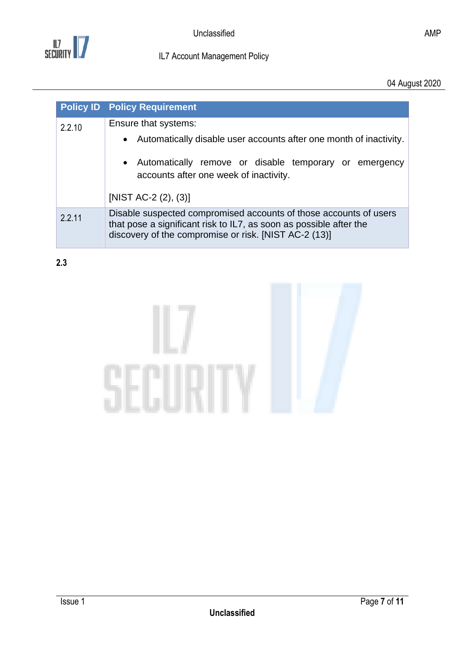

04 August 2020

|        | <b>Policy ID Policy Requirement</b>                                                                                                                                                              |  |
|--------|--------------------------------------------------------------------------------------------------------------------------------------------------------------------------------------------------|--|
| 2.2.10 | Ensure that systems:                                                                                                                                                                             |  |
|        | • Automatically disable user accounts after one month of inactivity.                                                                                                                             |  |
|        | • Automatically remove or disable temporary or emergency<br>accounts after one week of inactivity.                                                                                               |  |
|        | [NIST AC-2 $(2)$ , $(3)$ ]                                                                                                                                                                       |  |
| 2.2.11 | Disable suspected compromised accounts of those accounts of users<br>that pose a significant risk to IL7, as soon as possible after the<br>discovery of the compromise or risk. [NIST AC-2 (13)] |  |

<span id="page-6-0"></span>**2.3**

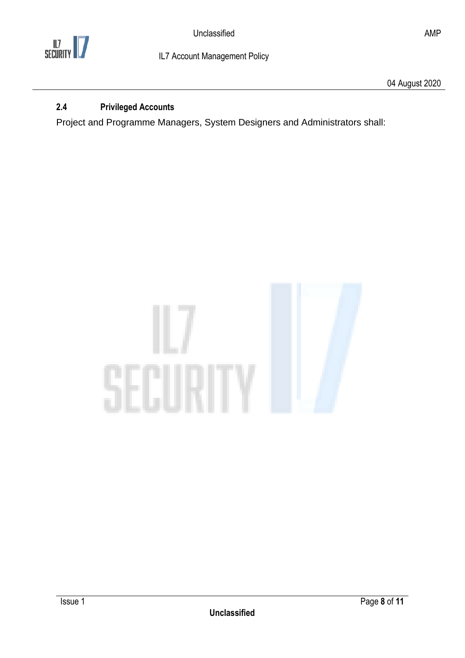

## <span id="page-7-0"></span>**2.4 Privileged Accounts**

Project and Programme Managers, System Designers and Administrators shall:

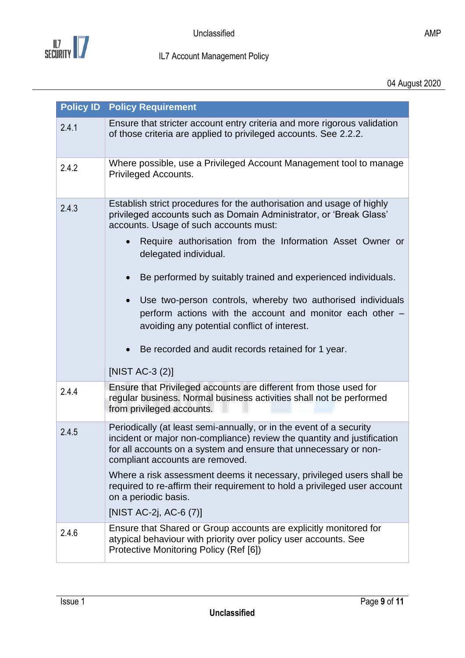

<span id="page-8-0"></span>

|       | <b>Policy ID Policy Requirement</b>                                                                                                                                                                                                                   |
|-------|-------------------------------------------------------------------------------------------------------------------------------------------------------------------------------------------------------------------------------------------------------|
| 2.4.1 | Ensure that stricter account entry criteria and more rigorous validation<br>of those criteria are applied to privileged accounts. See 2.2.2.                                                                                                          |
| 2.4.2 | Where possible, use a Privileged Account Management tool to manage<br>Privileged Accounts.                                                                                                                                                            |
| 2.4.3 | Establish strict procedures for the authorisation and usage of highly<br>privileged accounts such as Domain Administrator, or 'Break Glass'<br>accounts. Usage of such accounts must:                                                                 |
|       | Require authorisation from the Information Asset Owner or<br>delegated individual.                                                                                                                                                                    |
|       | Be performed by suitably trained and experienced individuals.                                                                                                                                                                                         |
|       | Use two-person controls, whereby two authorised individuals<br>perform actions with the account and monitor each other -<br>avoiding any potential conflict of interest.                                                                              |
|       | Be recorded and audit records retained for 1 year.                                                                                                                                                                                                    |
|       | [NIST AC-3 $(2)$ ]                                                                                                                                                                                                                                    |
| 2.4.4 | Ensure that Privileged accounts are different from those used for<br>regular business. Normal business activities shall not be performed<br>from privileged accounts.                                                                                 |
| 2.4.5 | Periodically (at least semi-annually, or in the event of a security<br>incident or major non-compliance) review the quantity and justification<br>for all accounts on a system and ensure that unnecessary or non-<br>compliant accounts are removed. |
|       | Where a risk assessment deems it necessary, privileged users shall be<br>required to re-affirm their requirement to hold a privileged user account<br>on a periodic basis.                                                                            |
|       | [NIST AC-2j, AC-6 (7)]                                                                                                                                                                                                                                |
| 2.4.6 | Ensure that Shared or Group accounts are explicitly monitored for<br>atypical behaviour with priority over policy user accounts. See<br>Protective Monitoring Policy (Ref [6])                                                                        |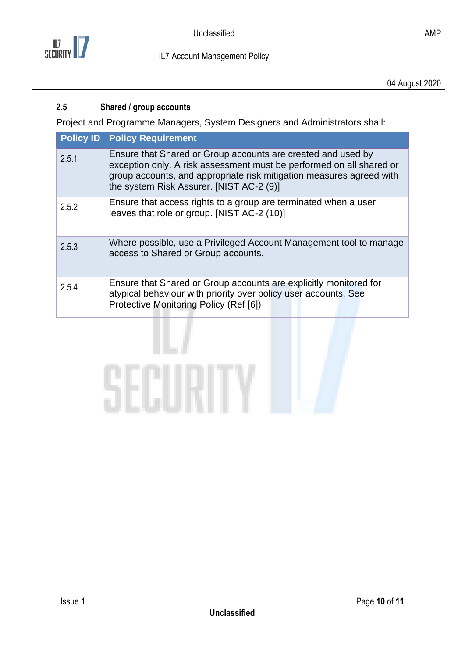

### <span id="page-9-0"></span>**2.5 Shared / group accounts**

Project and Programme Managers, System Designers and Administrators shall:

|       | <b>Policy ID Policy Requirement</b>                                                                                                                                                                                                                      |
|-------|----------------------------------------------------------------------------------------------------------------------------------------------------------------------------------------------------------------------------------------------------------|
| 2.5.1 | Ensure that Shared or Group accounts are created and used by<br>exception only. A risk assessment must be performed on all shared or<br>group accounts, and appropriate risk mitigation measures agreed with<br>the system Risk Assurer. [NIST AC-2 (9)] |
| 2.5.2 | Ensure that access rights to a group are terminated when a user<br>leaves that role or group. [NIST AC-2 (10)]                                                                                                                                           |
| 2.5.3 | Where possible, use a Privileged Account Management tool to manage<br>access to Shared or Group accounts.                                                                                                                                                |
| 2.5.4 | Ensure that Shared or Group accounts are explicitly monitored for<br>atypical behaviour with priority over policy user accounts. See<br>Protective Monitoring Policy (Ref [6])                                                                           |